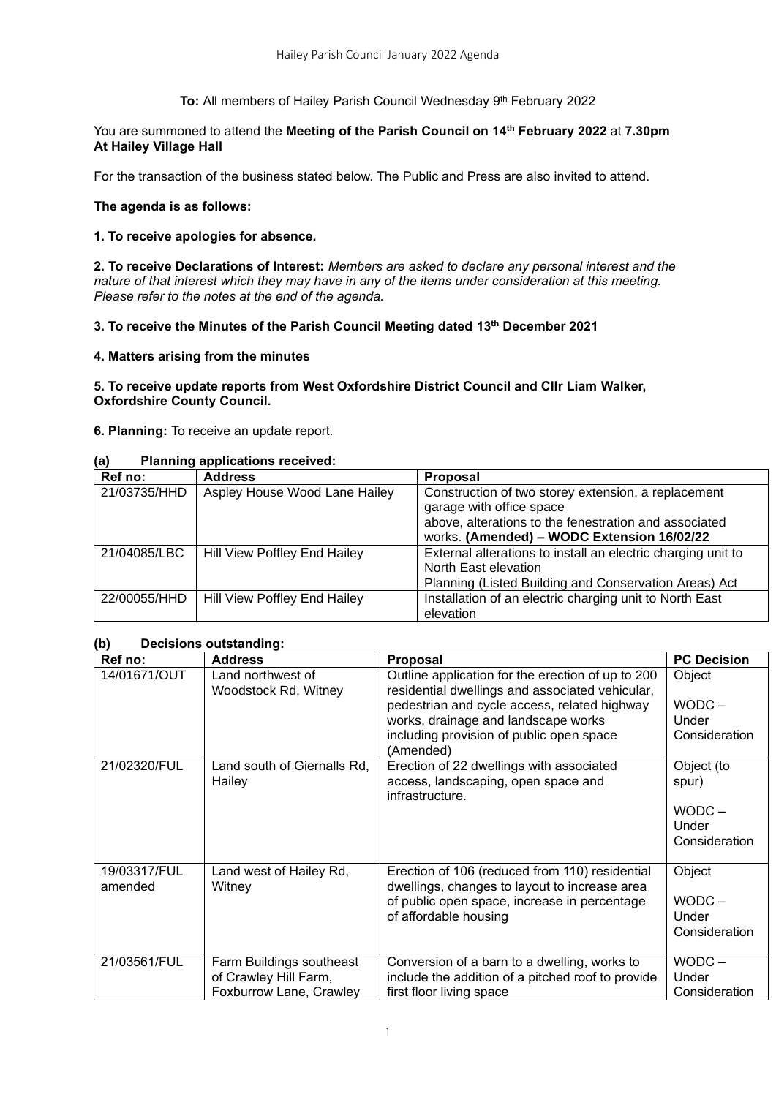**To:** All members of Hailey Parish Council Wednesday 9<sup>th</sup> February 2022

### You are summoned to attend the **Meeting of the Parish Council on 14th February 2022** at **7.30pm At Hailey Village Hall**

For the transaction of the business stated below. The Public and Press are also invited to attend.

# **The agenda is as follows:**

# **1. To receive apologies for absence.**

**2. To receive Declarations of Interest:** *Members are asked to declare any personal interest and the nature of that interest which they may have in any of the items under consideration at this meeting. Please refer to the notes at the end of the agenda.*

# **3. To receive the Minutes of the Parish Council Meeting dated 13th December 2021**

# **4. Matters arising from the minutes**

### **5. To receive update reports from West Oxfordshire District Council and Cllr Liam Walker, Oxfordshire County Council.**

**6. Planning:** To receive an update report.

# **(a) Planning applications received:**

| Ref no:      | <b>Address</b>                | <b>Proposal</b>                                                                                     |
|--------------|-------------------------------|-----------------------------------------------------------------------------------------------------|
| 21/03735/HHD | Aspley House Wood Lane Hailey | Construction of two storey extension, a replacement<br>garage with office space                     |
|              |                               | above, alterations to the fenestration and associated<br>works. (Amended) - WODC Extension 16/02/22 |
| 21/04085/LBC | Hill View Poffley End Hailey  | External alterations to install an electric charging unit to                                        |
|              |                               | North East elevation                                                                                |
|              |                               | Planning (Listed Building and Conservation Areas) Act                                               |
| 22/00055/HHD | Hill View Poffley End Hailey  | Installation of an electric charging unit to North East<br>elevation                                |

# **(b) Decisions outstanding:**

| Ref no:                 | <b>Address</b>                                                               | <b>Proposal</b>                                                                                                                                                                                                                                      | <b>PC Decision</b>                                        |
|-------------------------|------------------------------------------------------------------------------|------------------------------------------------------------------------------------------------------------------------------------------------------------------------------------------------------------------------------------------------------|-----------------------------------------------------------|
| 14/01671/OUT            | Land northwest of<br>Woodstock Rd, Witney                                    | Outline application for the erection of up to 200<br>residential dwellings and associated vehicular,<br>pedestrian and cycle access, related highway<br>works, drainage and landscape works<br>including provision of public open space<br>(Amended) | Object<br>$WODC -$<br>Under<br>Consideration              |
| 21/02320/FUL            | Land south of Giernalls Rd,<br>Hailey                                        | Erection of 22 dwellings with associated<br>access, landscaping, open space and<br>infrastructure.                                                                                                                                                   | Object (to<br>spur)<br>$WODC -$<br>Under<br>Consideration |
| 19/03317/FUL<br>amended | Land west of Hailey Rd,<br>Witney                                            | Erection of 106 (reduced from 110) residential<br>dwellings, changes to layout to increase area<br>of public open space, increase in percentage<br>of affordable housing                                                                             | Object<br>$WODC -$<br>Under<br>Consideration              |
| 21/03561/FUL            | Farm Buildings southeast<br>of Crawley Hill Farm,<br>Foxburrow Lane, Crawley | Conversion of a barn to a dwelling, works to<br>include the addition of a pitched roof to provide<br>first floor living space                                                                                                                        | WODC –<br>Under<br>Consideration                          |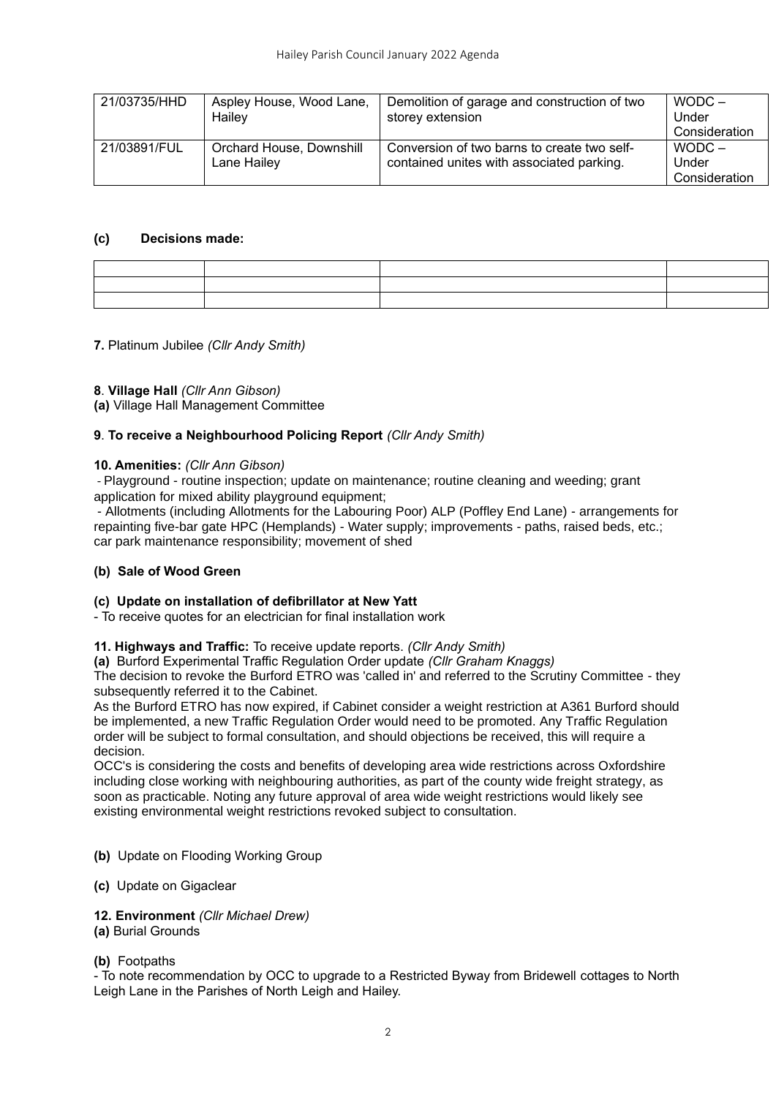| 21/03735/HHD | Aspley House, Wood Lane,<br>Hailey      | Demolition of garage and construction of two<br>storey extension                         | $WODC -$<br>Under<br>Consideration |
|--------------|-----------------------------------------|------------------------------------------------------------------------------------------|------------------------------------|
| 21/03891/FUL | Orchard House, Downshill<br>Lane Hailey | Conversion of two barns to create two self-<br>contained unites with associated parking. | $WODC -$<br>Under<br>Consideration |

### **(c) Decisions made:**

|  | and the contract of the contract of the contract of the contract of the contract of the contract of the contract of<br>,一个人都是一个人的人,就是一个人的人,就是一个人的人,就是一个人的人,就是一个人的人,就是一个人的人,就是一个人的人,就是一个人的人,就是一个人的人,就是一个 |  |
|--|---------------------------------------------------------------------------------------------------------------------------------------------------------------------------------------------------------|--|
|  |                                                                                                                                                                                                         |  |
|  |                                                                                                                                                                                                         |  |

### **7.** Platinum Jubilee *(Cllr Andy Smith)*

### **8**. **Village Hall** *(Cllr Ann Gibson)*

**(a)** Village Hall Management Committee

# **9**. **To receive a Neighbourhood Policing Report** *(Cllr Andy Smith)*

### **10. Amenities:** *(Cllr Ann Gibson)*

- Playground - routine inspection; update on maintenance; routine cleaning and weeding; grant application for mixed ability playground equipment;

- Allotments (including Allotments for the Labouring Poor) ALP (Poffley End Lane) - arrangements for repainting five-bar gate HPC (Hemplands) - Water supply; improvements - paths, raised beds, etc.; car park maintenance responsibility; movement of shed

# **(b) Sale of Wood Green**

# **(c) Update on installation of defibrillator at New Yatt**

- To receive quotes for an electrician for final installation work

#### **11. Highways and Traffic:** To receive update reports. *(Cllr Andy Smith)*

**(a)** Burford Experimental Traffic Regulation Order update *(Cllr Graham Knaggs)*

The decision to revoke the Burford ETRO was 'called in' and referred to the Scrutiny Committee - they subsequently referred it to the Cabinet.

As the Burford ETRO has now expired, if Cabinet consider a weight restriction at A361 Burford should be implemented, a new Traffic Regulation Order would need to be promoted. Any Traffic Regulation order will be subject to formal consultation, and should objections be received, this will require a decision.

OCC's is considering the costs and benefits of developing area wide restrictions across Oxfordshire including close working with neighbouring authorities, as part of the county wide freight strategy, as soon as practicable. Noting any future approval of area wide weight restrictions would likely see existing environmental weight restrictions revoked subject to consultation.

- **(b)** Update on Flooding Working Group
- **(c)** Update on Gigaclear

#### **12. Environment** *(Cllr Michael Drew)*

#### **(a)** Burial Grounds

#### **(b)** Footpaths

- To note recommendation by OCC to upgrade to a Restricted Byway from Bridewell cottages to North Leigh Lane in the Parishes of North Leigh and Hailey.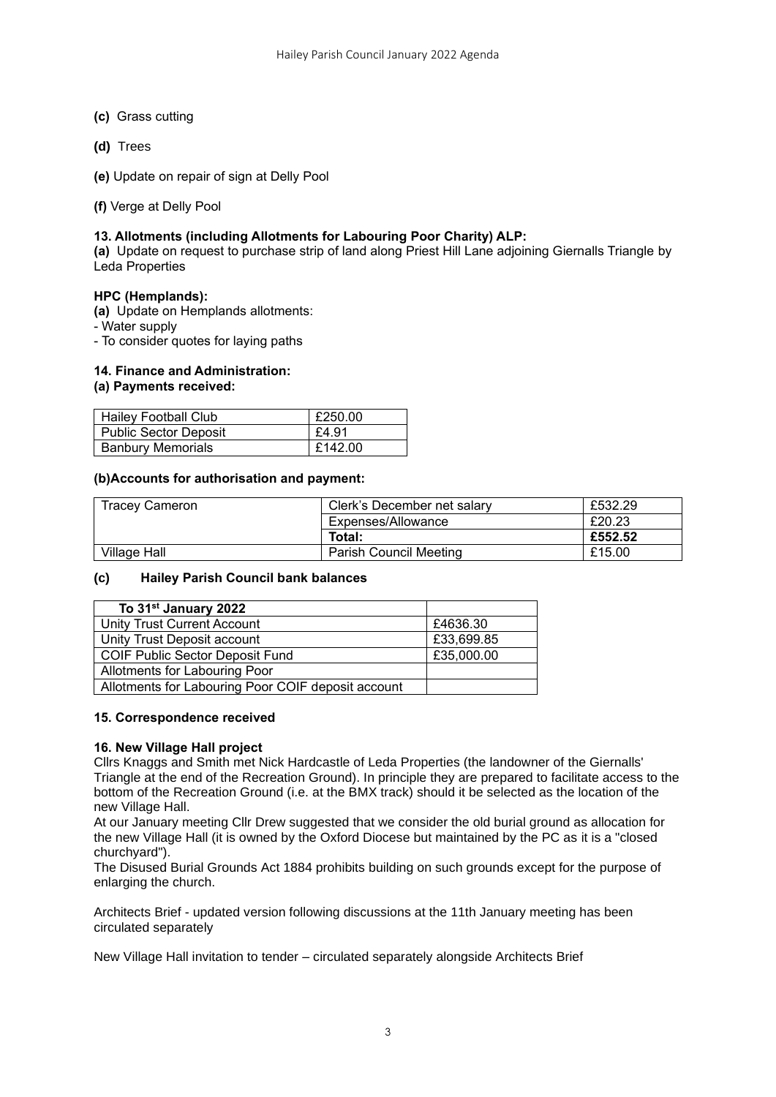- **(c)** Grass cutting
- **(d)** Trees
- **(e)** Update on repair of sign at Delly Pool
- **(f)** Verge at Delly Pool

### **13. Allotments (including Allotments for Labouring Poor Charity) ALP:**

**(a)** Update on request to purchase strip of land along Priest Hill Lane adjoining Giernalls Triangle by Leda Properties

#### **HPC (Hemplands):**

**(a)** Update on Hemplands allotments:

- Water supply

- To consider quotes for laying paths

# **14. Finance and Administration:**

### **(a) Payments received:**

| <b>Hailey Football Club</b>  | £250.00 |
|------------------------------|---------|
| <b>Public Sector Deposit</b> | E4.91   |
| <b>Banbury Memorials</b>     | £142.00 |

### **(b)Accounts for authorisation and payment:**

| <b>Tracey Cameron</b> | Clerk's December net salary   | £532.29 |
|-----------------------|-------------------------------|---------|
|                       | Expenses/Allowance            | £20.23  |
|                       | Total:                        | £552.52 |
| Village Hall          | <b>Parish Council Meeting</b> | £15.00  |

#### **(c) Hailey Parish Council bank balances**

| To 31 <sup>st</sup> January 2022                   |            |
|----------------------------------------------------|------------|
| Unity Trust Current Account                        | £4636.30   |
| Unity Trust Deposit account                        | £33,699.85 |
| COIF Public Sector Deposit Fund                    | £35,000.00 |
| Allotments for Labouring Poor                      |            |
| Allotments for Labouring Poor COIF deposit account |            |

#### **15. Correspondence received**

#### **16. New Village Hall project**

Cllrs Knaggs and Smith met Nick Hardcastle of Leda Properties (the landowner of the Giernalls' Triangle at the end of the Recreation Ground). In principle they are prepared to facilitate access to the bottom of the Recreation Ground (i.e. at the BMX track) should it be selected as the location of the new Village Hall.

At our January meeting Cllr Drew suggested that we consider the old burial ground as allocation for the new Village Hall (it is owned by the Oxford Diocese but maintained by the PC as it is a "closed churchyard").

The Disused Burial Grounds Act 1884 prohibits building on such grounds except for the purpose of enlarging the church.

Architects Brief - updated version following discussions at the 11th January meeting has been circulated separately

New Village Hall invitation to tender – circulated separately alongside Architects Brief